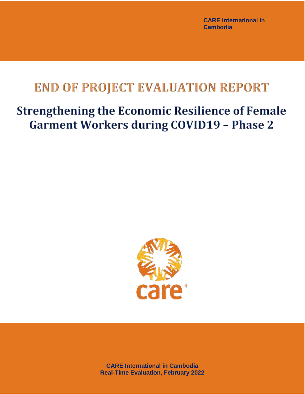**CARE International in Cambodia** 

# **END OF PROJECT EVALUATION REPORT**

# **Strengthening the Economic Resilience of Female Garment Workers during COVID19 - Phase 2**



**CARE International in Cambodia Real-Time Evaluation, February 2022**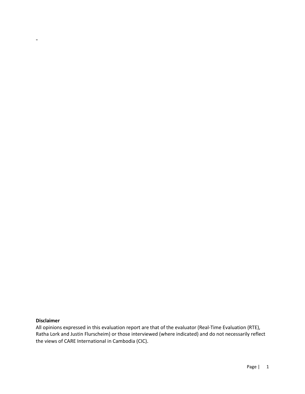## **Disclaimer**

-

All opinions expressed in this evaluation report are that of the evaluator (Real-Time Evaluation (RTE), Ratha Lork and Justin Flurscheim) or those interviewed (where indicated) and do not necessarily reflect the views of CARE International in Cambodia (CIC).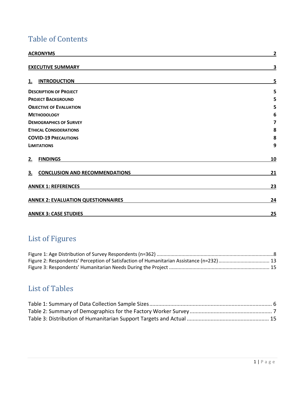# Table of Contents

| <b>ACRONYMS</b>                             | $\mathbf{2}$ |
|---------------------------------------------|--------------|
| <b>EXECUTIVE SUMMARY</b>                    | 3            |
| <b>INTRODUCTION</b><br>1.                   | 5            |
| <b>DESCRIPTION OF PROJECT</b>               | 5            |
| <b>PROJECT BACKGROUND</b>                   | 5            |
| <b>OBJECTIVE OF EVALUATION</b>              | 5            |
| <b>METHODOLOGY</b>                          | 6            |
| <b>DEMOGRAPHICS OF SURVEY</b>               | 7            |
| <b>ETHICAL CONSIDERATIONS</b>               | 8            |
| <b>COVID-19 PRECAUTIONS</b>                 |              |
| <b>LIMITATIONS</b>                          | 9            |
| <b>FINDINGS</b><br>2.                       | 10           |
| <b>CONCLUSION AND RECOMMENDATIONS</b><br>3. |              |
| <b>ANNEX 1: REFERENCES</b>                  | 23           |
| <b>ANNEX 2: EVALUATION QUESTIONNAIRES</b>   | 24           |
| <b>ANNEX 3: CASE STUDIES</b>                | 25           |

# List of Figures

# List of Tables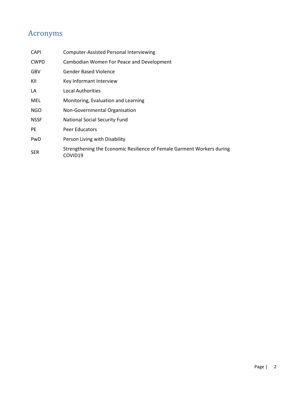# <span id="page-3-0"></span>Acronyms

| <b>Computer-Assisted Personal Interviewing</b>                                    |
|-----------------------------------------------------------------------------------|
| Cambodian Women For Peace and Development                                         |
| <b>Gender Based Violence</b>                                                      |
| Key Informant Interview                                                           |
| Local Authorities                                                                 |
| Monitoring, Evaluation and Learning                                               |
| Non-Governmental Organisation                                                     |
| <b>National Social Security Fund</b>                                              |
| Peer Educators                                                                    |
| Person Living with Disability                                                     |
| Strengthening the Economic Resilience of Female Garment Workers during<br>COVID19 |
|                                                                                   |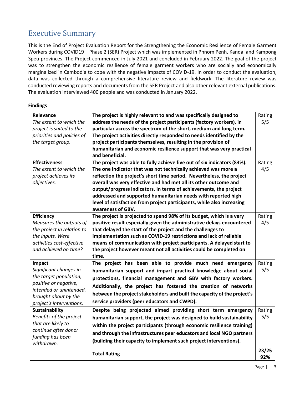# <span id="page-4-0"></span>Executive Summary

This is the End of Project Evaluation Report for the Strengthening the Economic Resilience of Female Garment Workers during COVID19 – Phase 2 (SER) Project which was implemented in Phnom Penh, Kandal and Kampong Speu provinces. The Project commenced in July 2021 and concluded in February 2022. The goal of the project was to strengthen the economic resilience of female garment workers who are socially and economically marginalized in Cambodia to cope with the negative impacts of COVID-19. In order to conduct the evaluation, data was collected through a comprehensive literature review and fieldwork. The literature review was conducted reviewing reports and documents from the SER Project and also other relevant external publications. The evaluation interviewed 400 people and was conducted in January 2022.

## **Findings**

| <b>Relevance</b>                                 | The project is highly relevant to and was specifically designed to       | Rating |  |
|--------------------------------------------------|--------------------------------------------------------------------------|--------|--|
| The extent to which the                          | address the needs of the project participants (factory workers), in      |        |  |
| project is suited to the                         | particular across the spectrum of the short, medium and long term.       |        |  |
| priorities and policies of                       | The project activities directly responded to needs identified by the     |        |  |
| the target group.                                | project participants themselves, resulting in the provision of           |        |  |
|                                                  | humanitarian and economic resilience support that was very practical     |        |  |
|                                                  | and beneficial.                                                          |        |  |
| <b>Effectiveness</b>                             | The project was able to fully achieve five out of six indicators (83%).  | Rating |  |
| The extent to which the                          | The one indicator that was not technically achieved was more a           | 4/5    |  |
| project achieves its                             | reflection the project's short time period. Nevertheless, the project    |        |  |
| objectives.                                      | overall was very effective and had met all its other outcome and         |        |  |
|                                                  | output/progress indicators. In terms of achievements, the project        |        |  |
|                                                  | addressed and supported humanitarian needs with reported high            |        |  |
|                                                  | level of satisfaction from project participants, while also increasing   |        |  |
|                                                  | awareness of GBV.                                                        |        |  |
| <b>Efficiency</b>                                | The project is projected to spend 98% of its budget, which is a very     | Rating |  |
| Measures the outputs of                          | positive result especially given the administrative delays encountered   | 4/5    |  |
| the project in relation to                       | that delayed the start of the project and the challenges to              |        |  |
| the inputs. Were                                 | implementation such as COVID-19 restrictions and lack of reliable        |        |  |
| activities cost-effective                        | means of communication with project participants. A delayed start to     |        |  |
| and achieved on time?                            | the project however meant not all activities could be completed on       |        |  |
|                                                  | time.                                                                    |        |  |
| Impact                                           | The project has been able to provide much need emergency                 | Rating |  |
| Significant changes in                           | humanitarian support and impart practical knowledge about social         | 5/5    |  |
| the target population,                           | protections, financial management and GBV with factory workers.          |        |  |
| positive or negative,<br>intended or unintended, | Additionally, the project has fostered the creation of networks          |        |  |
| brought about by the                             | between the project stakeholders and built the capacity of the project's |        |  |
| project's interventions.                         | service providers (peer educators and CWPD).                             |        |  |
| <b>Sustainability</b>                            | Despite being projected aimed providing short term emergency             | Rating |  |
| Benefits of the project                          | humanitarian support, the project was designed to build sustainability   | 5/5    |  |
| that are likely to                               |                                                                          |        |  |
| continue after donor                             | within the project participants (through economic resilience training)   |        |  |
| funding has been                                 | and through the infrastructures peer educators and local NGO partners    |        |  |
| withdrawn.                                       | (building their capacity to implement such project interventions).       |        |  |
|                                                  |                                                                          | 23/25  |  |
|                                                  | <b>Total Rating</b>                                                      | 92%    |  |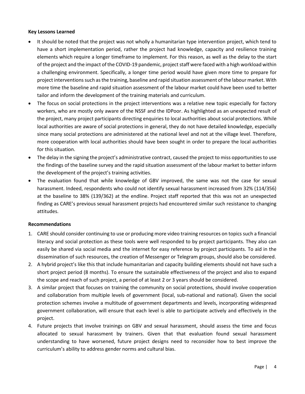#### **Key Lessons Learned**

- It should be noted that the project was not wholly a humanitarian type intervention project, which tend to have a short implementation period, rather the project had knowledge, capacity and resilience training elements which require a longer timeframe to implement. For this reason, as well as the delay to the start of the project and the impact of the COVID-19 pandemic, project staff were faced with a high workload within a challenging environment. Specifically, a longer time period would have given more time to prepare for project interventions such as the training, baseline and rapid situation assessment of the labour market. With more time the baseline and rapid situation assessment of the labour market could have been used to better tailor and inform the development of the training materials and curriculum.
- The focus on social protections in the project interventions was a relative new topic especially for factory workers, who are mostly only aware of the NSSF and the IDPoor. As highlighted as an unexpected result of the project, many project participants directing enquiries to local authorities about social protections. While local authorities are aware of social protections in general, they do not have detailed knowledge, especially since many social protections are administered at the national level and not at the village level. Therefore, more cooperation with local authorities should have been sought in order to prepare the local authorities for this situation.
- The delay in the signing the project's administrative contract, caused the project to miss opportunities to use the findings of the baseline survey and the rapid situation assessment of the labour market to better inform the development of the project's training activities.
- The evaluation found that while knowledge of GBV improved, the same was not the case for sexual harassment. Indeed, respondents who could not identify sexual harassment increased from 32% (114/356) at the baseline to 38% (139/362) at the endline. Project staff reported that this was not an unexpected finding as CARE's previous sexual harassment projects had encountered similar such resistance to changing attitudes.

#### **Recommendations**

- 1. CARE should consider continuing to use or producing more video training resources on topics such a financial literacy and social protection as these tools were well responded to by project participants. They also can easily be shared via social media and the internet for easy reference by project participants. To aid in the dissemination of such resources, the creation of Messenger or Telegram groups, should also be considered.
- 2. A hybrid project's like this that include humanitarian and capacity building elements should not have such a short project period (8 months). To ensure the sustainable effectiveness of the project and also to expand the scope and reach of such project, a period of at least 2 or 3 years should be considered.
- 3. A similar project that focuses on training the community on social protections, should involve cooperation and collaboration from multiple levels of government (local, sub-national and national). Given the social protection schemes involve a multitude of government departments and levels, incorporating widespread government collaboration, will ensure that each level is able to participate actively and effectively in the project.
- 4. Future projects that involve trainings on GBV and sexual harassment, should assess the time and focus allocated to sexual harassment by trainers. Given that that evaluation found sexual harassment understanding to have worsened, future project designs need to reconsider how to best improve the curriculum's ability to address gender norms and cultural bias.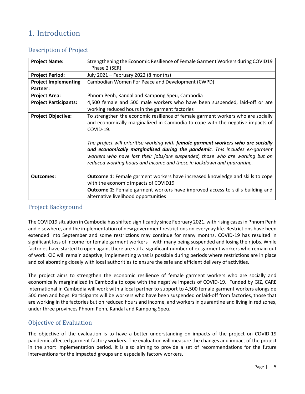# <span id="page-6-0"></span>1. Introduction

# <span id="page-6-1"></span>Description of Project

| <b>Project Name:</b>         | Strengthening the Economic Resilience of Female Garment Workers during COVID19<br>$-$ Phase 2 (SER)                                                                                                                                                                                                                                                                                                                                                                                                          |  |  |  |
|------------------------------|--------------------------------------------------------------------------------------------------------------------------------------------------------------------------------------------------------------------------------------------------------------------------------------------------------------------------------------------------------------------------------------------------------------------------------------------------------------------------------------------------------------|--|--|--|
| <b>Project Period:</b>       | July 2021 - February 2022 (8 months)                                                                                                                                                                                                                                                                                                                                                                                                                                                                         |  |  |  |
| <b>Project Implementing</b>  | Cambodian Women For Peace and Development (CWPD)                                                                                                                                                                                                                                                                                                                                                                                                                                                             |  |  |  |
| Partner:                     |                                                                                                                                                                                                                                                                                                                                                                                                                                                                                                              |  |  |  |
| <b>Project Area:</b>         | Phnom Penh, Kandal and Kampong Speu, Cambodia                                                                                                                                                                                                                                                                                                                                                                                                                                                                |  |  |  |
| <b>Project Participants:</b> | 4,500 female and 500 male workers who have been suspended, laid-off or are<br>working reduced hours in the garment factories                                                                                                                                                                                                                                                                                                                                                                                 |  |  |  |
| <b>Project Objective:</b>    | To strengthen the economic resilience of female garment workers who are socially<br>and economically marginalized in Cambodia to cope with the negative impacts of<br>COVID-19.<br>The project will prioritise working with female garment workers who are socially<br>and economically marginalised during the pandemic. This includes ex-garment<br>workers who have lost their jobs/are suspended, those who are working but on<br>reduced working hours and income and those in lockdown and quarantine. |  |  |  |
| <b>Outcomes:</b>             | <b>Outcome 1:</b> Female garment workers have increased knowledge and skills to cope<br>with the economic impacts of COVID19<br><b>Outcome 2:</b> Female garment workers have improved access to skills building and<br>alternative livelihood opportunities                                                                                                                                                                                                                                                 |  |  |  |

# <span id="page-6-2"></span>Project Background

The COVID19 situation in Cambodia has shifted significantly since February 2021, with rising cases in Phnom Penh and elsewhere, and the implementation of new government restrictions on everyday life. Restrictions have been extended into September and some restrictions may continue for many months. COVID-19 has resulted in significant loss of income for female garment workers – with many being suspended and losing their jobs. While factories have started to open again, there are still a significant number of ex-garment workers who remain out of work. CIC will remain adaptive, implementing what is possible during periods where restrictions are in place and collaborating closely with local authorities to ensure the safe and efficient delivery of activities.

The project aims to strengthen the economic resilience of female garment workers who are socially and economically marginalized in Cambodia to cope with the negative impacts of COVID-19. Funded by GIZ, CARE International in Cambodia will work with a local partner to support to 4,500 female garment workers alongside 500 men and boys. Participants will be workers who have been suspended or laid-off from factories, those that are working in the factories but on reduced hours and income, and workers in quarantine and living in red zones, under three provinces Phnom Penh, Kandal and Kampong Speu.

# <span id="page-6-3"></span>Objective of Evaluation

The objective of the evaluation is to have a better understanding on impacts of the project on COVID-19 pandemic affected garment factory workers. The evaluation will measure the changes and impact of the project in the short implementation period. It is also aiming to provide a set of recommendations for the future interventions for the impacted groups and especially factory workers.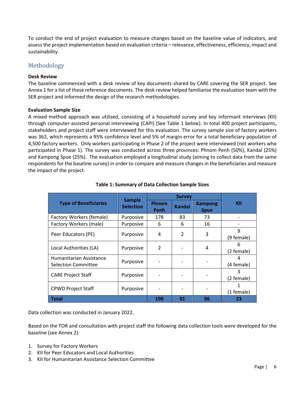To conduct the end of project evaluation to measure changes based on the baseline value of indicators, and assess the project implementation based on evaluation criteria – relevance, effectiveness, efficiency, impact and sustainability.

## <span id="page-7-0"></span>Methodology

## **Desk Review**

The baseline commenced with a desk review of key documents shared by CARE covering the SER project. See Annex 1 for a list of these reference documents. The desk review helped familiarise the evaluation team with the SER project and informed the design of the research methodologies.

#### **Evaluation Sample Size**

A mixed method approach was utilised, consisting of a household survey and key informant interviews (KII) through computer-assisted personal interviewing (CAPI) (See Table 1 below). In total 400 project participants, stakeholders and project staff were interviewed for this evaluation. The survey sample size of factory workers was 362, which represents a 95% confidence level and 5% of margin error for a total beneficiary population of 4,500 factory workers. Only workers participating in Phase 2 of the project were interviewed (not workers who participated in Phase 1). The survey was conducted across three provinces: Phnom Penh (50%), Kandal (25%) and Kampong Spue (25%). The evaluation employed a longitudinal study (aiming to collect data from the same respondents for the baseline survey) in order to compare and measure changes in the beneficiaries and measure the impact of the project.

<span id="page-7-1"></span>

|                                                       | <b>Sample</b><br><b>Selection</b> | <b>Survey</b> |                |                               |                 |
|-------------------------------------------------------|-----------------------------------|---------------|----------------|-------------------------------|-----------------|
| <b>Type of Beneficiaries</b>                          |                                   | Phnom<br>Penh | <b>Kandal</b>  | <b>Kampong</b><br><b>Spue</b> | KII             |
| Factory Workers (female)                              | Purposive                         | 178           | 83             | 73                            |                 |
| Factory Workers (male)                                | Purposive                         | 6             | 6              | 16                            |                 |
| Peer Educators (PE)                                   | Purposive                         | 4             | $\mathfrak{p}$ | 3                             | 9<br>(9 female) |
| Local Authorities (LA)                                | Purposive                         | 2             |                | 4                             | 6<br>(2 female) |
| Humanitarian Assistance<br><b>Selection Committee</b> | Purposive                         |               |                |                               | 4<br>(4 female) |
| <b>CARE Project Staff</b>                             | Purposive                         |               |                |                               | 3<br>(2 female) |
| <b>CPWD Project Staff</b>                             | Purposive                         |               |                |                               | (1 female)      |
| <b>Total</b>                                          |                                   | 190           | 91             | 96                            | 23              |

## **Table 1: Summary of Data Collection Sample Sizes**

Data collection was conducted in January 2022.

Based on the TOR and consultation with project staff the following data collection tools were developed for the baseline (see Annex 2):

- 1. Survey for Factory Workers
- 2. KII for Peer Educators and Local Authorities
- 3. KII for Humanitarian Assistance Selection Committee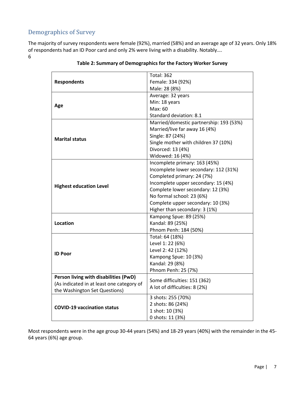# <span id="page-8-0"></span>Demographics of Survey

<span id="page-8-1"></span>The majority of survey respondents were female (92%), married (58%) and an average age of 32 years. Only 18% of respondents had an ID Poor card and only 2% were living with a disability. Notably…. 6

|                                           | <b>Total: 362</b>                       |  |  |
|-------------------------------------------|-----------------------------------------|--|--|
| <b>Respondents</b>                        | Female: 334 (92%)                       |  |  |
|                                           | Male: 28 (8%)                           |  |  |
|                                           | Average: 32 years                       |  |  |
|                                           | Min: 18 years                           |  |  |
| Age                                       | Max: 60                                 |  |  |
|                                           | Standard deviation: 8.1                 |  |  |
|                                           | Married/domestic partnership: 193 (53%) |  |  |
|                                           | Married/live far away 16 (4%)           |  |  |
| <b>Marital status</b>                     | Single: 87 (24%)                        |  |  |
|                                           | Single mother with children 37 (10%)    |  |  |
|                                           | Divorced: 13 (4%)                       |  |  |
|                                           | Widowed: 16 (4%)                        |  |  |
|                                           | Incomplete primary: 163 (45%)           |  |  |
|                                           | Incomplete lower secondary: 112 (31%)   |  |  |
|                                           | Completed primary: 24 (7%)              |  |  |
|                                           | Incomplete upper secondary: 15 (4%)     |  |  |
| <b>Highest education Level</b>            | Complete lower secondary: 12 (3%)       |  |  |
|                                           | No formal school: 23 (6%)               |  |  |
|                                           | Complete upper secondary: 10 (3%)       |  |  |
|                                           | Higher than secondary: 3 (1%)           |  |  |
|                                           | Kampong Spue: 89 (25%)                  |  |  |
| Location                                  | Kandal: 89 (25%)                        |  |  |
|                                           | Phnom Penh: 184 (50%)                   |  |  |
|                                           | Total: 64 (18%)                         |  |  |
|                                           | Level 1: 22 (6%)                        |  |  |
| <b>ID Poor</b>                            | Level 2: 42 (12%)                       |  |  |
|                                           | Kampong Spue: 10 (3%)                   |  |  |
|                                           | Kandal: 29 (8%)                         |  |  |
|                                           | Phnom Penh: 25 (7%)                     |  |  |
| Person living with disabilities (PwD)     | Some difficulties: 151 (362)            |  |  |
| (As indicated in at least one category of | A lot of difficulties: 8 (2%)           |  |  |
| the Washington Set Questions)             |                                         |  |  |
|                                           | 3 shots: 255 (70%)                      |  |  |
| <b>COVID-19 vaccination status</b>        | 2 shots: 86 (24%)                       |  |  |
|                                           | 1 shot: 10 (3%)                         |  |  |
|                                           | 0 shots: 11 (3%)                        |  |  |

## **Table 2: Summary of Demographics for the Factory Worker Survey**

Most respondents were in the age group 30-44 years (54%) and 18-29 years (40%) with the remainder in the 45- 64 years (6%) age group.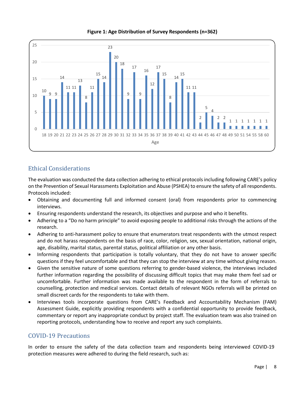<span id="page-9-2"></span>

**Figure 1: Age Distribution of Survey Respondents (n=362)**

# <span id="page-9-0"></span>Ethical Considerations

The evaluation was conducted the data collection adhering to ethical protocolsincluding following CARE's policy on the Prevention of Sexual Harassments Exploitation and Abuse (PSHEA) to ensure the safety of all respondents. Protocols included:

- Obtaining and documenting full and informed consent (oral) from respondents prior to commencing interviews.
- Ensuring respondents understand the research, its objectives and purpose and who it benefits.
- Adhering to a "Do no harm principle" to avoid exposing people to additional risks through the actions of the research.
- Adhering to anti-harassment policy to ensure that enumerators treat respondents with the utmost respect and do not harass respondents on the basis of race, color, religion, sex, sexual orientation, national origin, age, disability, marital status, parental status, political affiliation or any other basis.
- Informing respondents that participation is totally voluntary, that they do not have to answer specific questions if they feel uncomfortable and that they can stop the interview at any time without giving reason.
- Given the sensitive nature of some questions referring to gender-based violence, the interviews included further information regarding the possibility of discussing difficult topics that may make them feel sad or uncomfortable. Further information was made available to the respondent in the form of referrals to counselling, protection and medical services. Contact details of relevant NGOs referrals will be printed on small discreet cards for the respondents to take with them.
- Interviews tools incorporate questions from CARE's Feedback and Accountability Mechanism (FAM) Assessment Guide, explicitly providing respondents with a confidential opportunity to provide feedback, commentary or report any inappropriate conduct by project staff. The evaluation team was also trained on reporting protocols, understanding how to receive and report any such complaints.

# <span id="page-9-1"></span>COVID-19 Precautions

In order to ensure the safety of the data collection team and respondents being interviewed COVID-19 protection measures were adhered to during the field research, such as: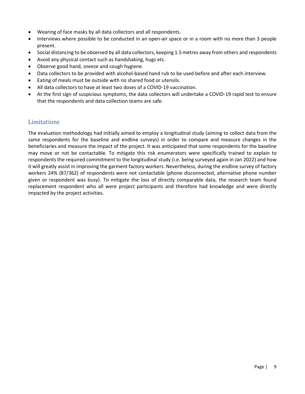- Wearing of face masks by all data collectors and all respondents.
- Interviews where possible to be conducted in an open-air space or in a room with no more than 3 people present.
- Social distancing to be observed by all data collectors, keeping 1.5 metres away from others and respondents
- Avoid any physical contact such as handshaking, hugs etc.
- Observe good hand, sneeze and cough hygiene.
- Data collectors to be provided with alcohol-based hand rub to be used before and after each interview.
- Eating of meals must be outside with no shared food or utensils.
- All data collectors to have at least two doses of a COVID-19 vaccination.
- At the first sign of suspicious symptoms, the data collectors will undertake a COVID-19 rapid test to ensure that the respondents and data collection teams are safe.

## <span id="page-10-0"></span>Limitations

The evaluation methodology had initially aimed to employ a longitudinal study (aiming to collect data from the same respondents for the baseline and endline surveys) in order to compare and measure changes in the beneficiaries and measure the impact of the project. It was anticipated that some respondents for the baseline may move or not be contactable. To mitigate this risk enumerators were specifically trained to explain to respondents the required commitment to the longitudinal study (i.e. being surveyed again in Jan 2022) and how it will greatly assist in improving the garment factory workers. Nevertheless, during the endline survey of factory workers 24% (87/362) of respondents were not contactable (phone disconnected, alternative phone number given or respondent was busy). To mitigate the loss of directly comparable data, the research team found replacement respondent who all were project participants and therefore had knowledge and were directly impacted by the project activities.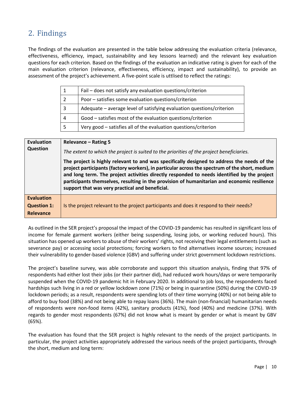# <span id="page-11-0"></span>2. Findings

The findings of the evaluation are presented in the table below addressing the evaluation criteria (relevance, effectiveness, efficiency, impact, sustainability and key lessons learned) and the relevant key evaluation questions for each criterion. Based on the findings of the evaluation an indicative rating is given for each of the main evaluation criterion (relevance, effectiveness, efficiency, impact and sustainability), to provide an assessment of the project's achievement. A five-point scale is uttlised to reflect the ratings:

|   | Fail - does not satisfy any evaluation questions/criterion            |
|---|-----------------------------------------------------------------------|
|   | Poor – satisfies some evaluation questions/criterion                  |
| 3 | Adequate - average level of satisfying evaluation questions/criterion |
| 4 | Good - satisfies most of the evaluation questions/criterion           |
|   | Very good - satisfies all of the evaluation questions/criterion       |

| <b>Evaluation</b><br><b>Question</b> | Relevance - Rating 5<br>The extent to which the project is suited to the priorities of the project beneficiaries.                                                                                                                                                                                                                                                                                                                              |  |  |
|--------------------------------------|------------------------------------------------------------------------------------------------------------------------------------------------------------------------------------------------------------------------------------------------------------------------------------------------------------------------------------------------------------------------------------------------------------------------------------------------|--|--|
|                                      | The project is highly relevant to and was specifically designed to address the needs of the<br>project participants (factory workers), in particular across the spectrum of the short, medium<br>and long term. The project activities directly responded to needs identified by the project<br>participants themselves, resulting in the provision of humanitarian and economic resilience<br>support that was very practical and beneficial. |  |  |
| <b>Evaluation</b>                    |                                                                                                                                                                                                                                                                                                                                                                                                                                                |  |  |
| <b>Question 1:</b>                   | Is the project relevant to the project participants and does it respond to their needs?                                                                                                                                                                                                                                                                                                                                                        |  |  |
| <b>Relevance</b>                     |                                                                                                                                                                                                                                                                                                                                                                                                                                                |  |  |

As outlined in the SER project's proposal the impact of the COVID-19 pandemic has resulted in significant loss of income for female garment workers (either being suspending, losing jobs, or working reduced hours). This situation has opened up workers to abuse of their workers' rights, not receiving their legal entitlements (such as severance pay) or accessing social protections; forcing workers to find alternatives income sources; increased their vulnerability to gender-based violence (GBV) and suffering under strict government lockdown restrictions.

The project's baseline survey, was able corroborate and support this situation analysis, finding that 97% of respondents had either lost their jobs (or their partner did), had reduced work hours/days or were temporarily suspended when the COVID-19 pandemic hit in February 2020. In additional to job loss, the respondents faced hardships such living in a red or yellow lockdown zone (71%) or being in quarantine (50%) during the COVID-19 lockdown periods; as a result, respondents were spending lots of their time worrying (40%) or not being able to afford to buy food (38%) and not being able to repay loans (36%). The main (non-financial) humanitarian needs of respondents were non-food items (42%), sanitary products (41%), food (40%) and medicine (37%). With regards to gender most respondents (67%) did not know what is meant by gender or what is meant by GBV (65%).

The evaluation has found that the SER project is highly relevant to the needs of the project participants. In particular, the project activities appropriately addressed the various needs of the project participants, through the short, medium and long term: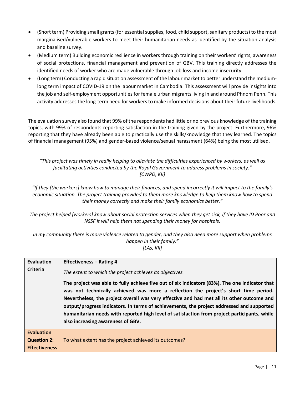- (Short term) Providing small grants (for essential supplies, food, child support, sanitary products) to the most marginalised/vulnerable workers to meet their humanitarian needs as identified by the situation analysis and baseline survey.
- (Medium term) Building economic resilience in workers through training on their workers' rights, awareness of social protections, financial management and prevention of GBV. This training directly addresses the identified needs of worker who are made vulnerable through job loss and income insecurity.
- (Long term) Conducting a rapid situation assessment of the labour market to better understand the mediumlong term impact of COVID-19 on the labour market in Cambodia. This assessment will provide insights into the job and self-employment opportunities for female urban migrants living in and around Phnom Penh. This activity addresses the long-term need for workers to make informed decisions about their future livelihoods.

The evaluation survey also found that 99% of the respondents had little or no previous knowledge of the training topics, with 99% of respondents reporting satisfaction in the training given by the project. Furthermore, 96% reporting that they have already been able to practically use the skills/knowledge that they learned. The topics of financial management (95%) and gender-based violence/sexual harassment (64%) being the most utilised.

*"This project was timely in really helping to alleviate the difficulties experienced by workers, as well as facilitating activities conducted by the Royal Government to address problems in society." [CWPD, KII]*

*"If they [the workers] know how to manage their finances, and spend incorrectly it will impact to the family's economic situation. The project training provided to them more knowledge to help them know how to spend their money correctly and make their family economics better."*

*The project helped [workers] know about social protection services when they get sick, if they have ID Poor and NSSF it will help them not spending their money for hospitals.*

*In my community there is more violence related to gender, and they also need more support when problems happen in their family." [LAs, KII]*

| <b>Evaluation</b>    | <b>Effectiveness - Rating 4</b>                                                                                                                                                                                                                                                                                                                                                                                                                                                                                       |  |  |
|----------------------|-----------------------------------------------------------------------------------------------------------------------------------------------------------------------------------------------------------------------------------------------------------------------------------------------------------------------------------------------------------------------------------------------------------------------------------------------------------------------------------------------------------------------|--|--|
| Criteria             | The extent to which the project achieves its objectives.                                                                                                                                                                                                                                                                                                                                                                                                                                                              |  |  |
|                      | The project was able to fully achieve five out of six indicators (83%). The one indicator that<br>was not technically achieved was more a reflection the project's short time period.<br>Nevertheless, the project overall was very effective and had met all its other outcome and<br>output/progress indicators. In terms of achievements, the project addressed and supported<br>humanitarian needs with reported high level of satisfaction from project participants, while<br>also increasing awareness of GBV. |  |  |
| <b>Evaluation</b>    |                                                                                                                                                                                                                                                                                                                                                                                                                                                                                                                       |  |  |
| <b>Question 2:</b>   | To what extent has the project achieved its outcomes?                                                                                                                                                                                                                                                                                                                                                                                                                                                                 |  |  |
| <b>Effectiveness</b> |                                                                                                                                                                                                                                                                                                                                                                                                                                                                                                                       |  |  |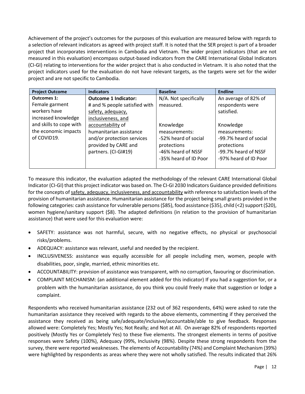Achievement of the project's outcomes for the purposes of this evaluation are measured below with regards to a selection of relevant indicators as agreed with project staff. It is noted that the SER project is part of a broader project that incorporates interventions in Cambodia and Vietnam. The wider project indicators (that are not measured in this evaluation) encompass output-based indicators from the CARE International Global Indicators (CI-GI) relating to interventions for the wider project that is also conducted in Vietnam. It is also noted that the project indicators used for the evaluation do not have relevant targets, as the targets were set for the wider project and are not specific to Cambodia.

| <b>Project Outcome</b>  | <b>Indicators</b>             | <b>Baseline</b>       | <b>Endline</b>         |
|-------------------------|-------------------------------|-----------------------|------------------------|
| <b>Outcomes 1:</b>      | <b>Outcome 1 Indicator:</b>   | N/A. Not specifically | An average of 82% of   |
| Female garment          | # and % people satisfied with | measured.             | respondents were       |
| workers have            | safety, adequacy,             |                       | satisfied.             |
| increased knowledge     | inclusiveness, and            |                       |                        |
| and skills to cope with | accountability of             | Knowledge             | Knowledge              |
| the economic impacts    | humanitarian assistance       | measurements:         | measurements:          |
| of COVID19.             | and/or protection services    | -52% heard of social  | -99.7% heard of social |
|                         | provided by CARE and          | protections           | protections            |
|                         | partners. (CI-GI#19)          | -46% heard of NSSF    | -99.7% heard of NSSF   |
|                         |                               | -35% heard of ID Poor | -97% heard of ID Poor  |
|                         |                               |                       |                        |

To measure this indicator, the evaluation adapted the methodology of the relevant CARE International Global Indicator (CI-GI) that this project indicator was based on. The CI-GI 2030 Indicators Guidance provided definitions for the concepts of safety, adequacy, inclusiveness, and accountability with reference to satisfaction levels of the provision of humanitarian assistance. Humanitarian assistance for the project being small grants provided in the following categories: cash assistance for vulnerable persons(\$85), food assistance (\$35), child (<2) support (\$20), women hygiene/sanitary support (\$8). The adapted definitions (in relation to the provision of humanitarian assistance) that were used for this evaluation were:

- SAFETY: assistance was not harmful, secure, with no negative effects, no physical or psychosocial risks/problems.
- ADEQUACY: assistance was relevant, useful and needed by the recipient.
- INCLUSIVENESS: assistance was equally accessible for all people including men, women, people with disabilities, poor, single, married, ethnic minorities etc.
- ACCOUNTABILITY: provision of assistance was transparent, with no corruption, favouring or discrimination.
- COMPLAINT MECHANISM: (an additional element added for this indicator) If you had a suggestion for, or a problem with the humanitarian assistance, do you think you could freely make that suggestion or lodge a complaint.

Respondents who received humanitarian assistance (232 out of 362 respondents, 64%) were asked to rate the humanitarian assistance they received with regards to the above elements, commenting if they perceived the assistance they received as being safe/adequate/inclusive/accountable/able to give feedback. Responses allowed were: Completely Yes; Mostly Yes; Not Really; and Not at All. On average 82% of respondents reported positively (Mostly Yes or Completely Yes) to these five elements. The strongest elements in terms of positive responses were Safety (100%), Adequacy (99%, Inclusivity (98%). Despite these strong respondents from the survey, there were reported weaknesses. The elements of Accountability (74%) and Complaint Mechanism (39%) were highlighted by respondents as areas where they were not wholly satisfied. The results indicated that 26%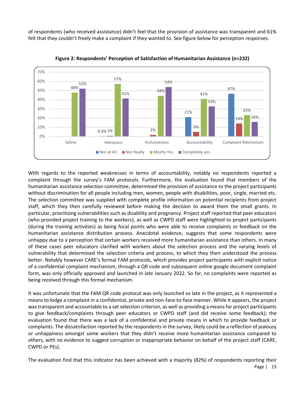of respondents (who received assistance) didn't feel that the provision of assistance was transparent and 61% felt that they couldn't freely make a complaint if they wanted to. See figure below for perception responses.

<span id="page-14-0"></span>

**Figure 2: Respondents' Perception of Satisfaction of Humanitarian Assistance (n=232)**

With regards to the reported weaknesses in terms of accountability, notably no respondents reported a complaint through the survey's FAM protocols. Furthermore, the evaluation found that members of the humanitarian assistance selection committee, determined the provision of assistance to the project participants without discrimination for all people including men, women, people with disabilities, poor, single, married etc. The selection committee was supplied with complete profile information on potential recipients from project staff, which they then carefully reviewed before making the decision to award them the small grants. In particular, prioritising vulnerabilities such as disability and pregnancy. Project staff reported that peer educators (who provided project training to the workers), as well as CWPD staff were highlighted to project participants (during the training activities) as being focal points who were able to receive complaints or feedback on the humanitarian assistance distribution process. Anecdotal evidence, suggests that some respondents were unhappy due to a perception that certain workers received more humanitarian assistance than others. In many of these cases peer educators clarified with workers about the selection process and the varying levels of vulnerability that determined the selection criteria and process, to which they then understood the process better. Notably however CARE's formal FAM protocols, which provides project participants with explicit notice of a confidential complaint mechanism, through a QR code and subsequent online google document complaint form, was only officially approved and launched in late January 2022. So far, no complaints were reported as being received through this formal mechanism.

It was unfortunate that the FAM QR code protocol was only launched so late in the project, as it represented a means to lodge a complaint in a confidential, private and non-face-to-face manner. While it appears, the project was transparent and accountable to a set selection criterion, as well as providing a means for project participants to give feedback/complaints through peer educators or CWPD staff (and did receive some feedback); the evaluation found that there was a lack of a confidential and private means in which to provide feedback or complaints. The dissatisfaction reported by the respondents in the survey, likely could be a reflection of jealousy or unhappiness amongst some workers that they didn't receive more humanitarian assistance compared to others, with no evidence to suggest corruption or inappropriate behavior on behalf of the project staff (CARE, CWPD or PEs).

Page | 13 The evaluation find that this indicator has been achieved with a majority (82%) of respondents reporting their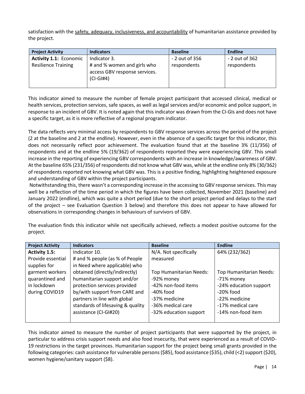satisfaction with the safety, adequacy, inclusiveness, and accountability of humanitarian assistance provided by the project.

| <b>Project Activity</b>       | <b>Indicators</b>                                                           | <b>Baseline</b> | <b>Endline</b> |
|-------------------------------|-----------------------------------------------------------------------------|-----------------|----------------|
| <b>Activity 1.1: Economic</b> | Indicator 3.                                                                | - 2 out of 356  | - 2 out of 362 |
| <b>Resilience Training</b>    | # and % women and girls who<br>access GBV response services.<br>$(CI-GI#4)$ | respondents     | respondents    |

This indicator aimed to measure the number of female project participant that accessed clinical, medical or health services, protection services, safe spaces, as well as legal services and/or economic and police support, in response to an incident of GBV. It is noted again that this indicator was drawn from the CI-GIs and does not have a specific target, as it is more reflective of a regional program indicator.

The data reflects very minimal access by respondents to GBV response services across the period of the project (2 at the baseline and 2 at the endline). However, even in the absence of a specific target for this indicator, this does not necessarily reflect poor achievement. The evaluation found that at the baseline 3% (11/356) of respondents and at the endline 5% (19/362) of respondents reported they were experiencing GBV. This small increase in the reporting of experiencing GBV correspondents with an increase in knowledge/awareness of GBV. At the baseline 65% (231/356) of respondents did not know what GBV was, while at the endline only 8% (30/362) of respondents reported not knowing what GBV was. This is a positive finding, highlighting heightened exposure and understanding of GBV within the project participants.

Notwithstanding this, there wasn't a corresponding increase in the accessing to GBV response services. This may well be a reflection of the time period in which the figures have been collected, November 2021 (baseline) and January 2022 (endline), which was quite a short period (due to the short project period and delays to the start of the project – see Evaluation Question 3 below) and therefore this does not appear to have allowed for observations in corresponding changes in behaviours of survivors of GBV.

| <b>Project Activity</b> | <b>Indicators</b>                 | <b>Baseline</b>                | <b>Endline</b>          |
|-------------------------|-----------------------------------|--------------------------------|-------------------------|
| <b>Activity 1.5:</b>    | Indicator 10.                     | N/A. Not specifically          | 64% (232/362)           |
| Provide essential       | # and % people (as % of People    | measured                       |                         |
| supplies for            | in Need where applicable) who     |                                |                         |
| garment workers         | obtained (directly/indirectly)    | <b>Top Humanitarian Needs:</b> | Top Humanitarian Needs: |
| quarantined and         | humanitarian support and/or       | -92% money                     | -71% money              |
| in lockdown             | protection services provided      | -42% non-food items            | -24% education support  |
| during COVID19          | by/with support from CARE and     | $-40\%$ food                   | $-20\%$ food            |
|                         | partners in line with global      | -37% medicine                  | -22% medicine           |
|                         | standards of lifesaving & quality | -36% medical care              | -17% medical care       |
|                         | assistance (CI-GI#20)             | -32% education support         | -14% non-food item      |
|                         |                                   |                                |                         |

The evaluation finds this indicator while not specifically achieved, reflects a modest positive outcome for the project.

This indicator aimed to measure the number of project participants that were supported by the project, in particular to address crisis support needs and also food insecurity, that were experienced as a result of COVID-19 restrictions in the target provinces. Humanitarian support for the project being small grants provided in the following categories: cash assistance for vulnerable persons (\$85), food assistance (\$35), child (<2) support (\$20), women hygiene/sanitary support (\$8).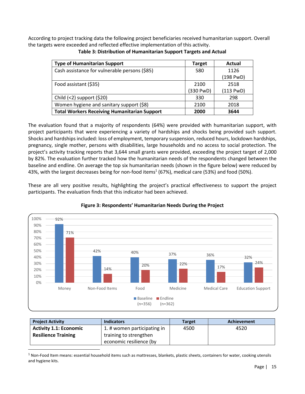<span id="page-16-1"></span>According to project tracking data the following project beneficiaries received humanitarian support. Overall the targets were exceeded and reflected effective implementation of this activity.

| <b>Type of Humanitarian Support</b>                 | <b>Target</b> | Actual    |
|-----------------------------------------------------|---------------|-----------|
| Cash assistance for vulnerable persons (\$85)       | 580           | 1126      |
|                                                     |               | (198 PwD) |
| Food assistant (\$35)                               | 2100          | 2518      |
|                                                     | (330 PwD)     | (113 PWD) |
| Child $(<2)$ support $(20)$                         | 330           | 298       |
| Women hygiene and sanitary support (\$8)            | 2100          | 2018      |
| <b>Total Workers Receiving Humanitarian Support</b> | 2000          | 3644      |

**Table 3: Distribution of Humanitarian Support Targets and Actual** 

The evaluation found that a majority of respondents (64%) were provided with humanitarian support, with project participants that were experiencing a variety of hardships and shocks being provided such support. Shocks and hardships included: loss of employment, temporary suspension, reduced hours, lockdown hardships, pregnancy, single mother, persons with disabilities, large households and no access to social protection. The project's activity tracking reports that 3,644 small grants were provided, exceeding the project target of 2,000 by 82%. The evaluation further tracked how the humanitarian needs of the respondents changed between the baseline and endline. On average the top six humanitarian needs (shown in the figure below) were reduced by 43%, with the largest decreases being for non-food items<sup>1</sup> (67%), medical care (53%) and food (50%).

These are all very positive results, highlighting the project's practical effectiveness to support the project participants. The evaluation finds that this indicator had been achieved.

<span id="page-16-0"></span>

## **Figure 3: Respondents' Humanitarian Needs During the Project**

| <b>Project Activity</b>       | <b>Indicators</b>           | <b>Target</b> | Achievement |
|-------------------------------|-----------------------------|---------------|-------------|
| <b>Activity 1.1: Economic</b> | 1. # women participating in | 4500          | 4520        |
| <b>Resilience Training</b>    | training to strengthen      |               |             |
|                               | economic resilience (by     |               |             |

 $1$  Non-Food Item means: essential household items such as mattresses, blankets, plastic sheets, containers for water, cooking utensils and hygiene kits.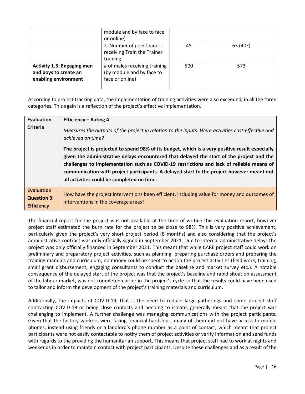|                                                                                    | module and by face to face<br>or online)                                      |     |          |
|------------------------------------------------------------------------------------|-------------------------------------------------------------------------------|-----|----------|
|                                                                                    | 2. Number of peer leaders<br>receiving Train the Trainer<br>training          | 45  | 63 (40F) |
| <b>Activity 1.3: Engaging men</b><br>and boys to create an<br>enabling environment | # of males receiving training<br>(by module and by face to<br>face or online) | 500 | 573      |

According to project tracking data, the implementation of training activities were also exceeded, in all the three categories. This again is a reflection of the project's effective implementation.

| <b>Evaluation</b>                                            | <b>Efficiency - Rating 4</b>                                                                                                                                                                                                                                                                                                                                                                                                        |
|--------------------------------------------------------------|-------------------------------------------------------------------------------------------------------------------------------------------------------------------------------------------------------------------------------------------------------------------------------------------------------------------------------------------------------------------------------------------------------------------------------------|
| <b>Criteria</b>                                              | Measures the outputs of the project in relation to the inputs. Were activities cost-effective and<br>achieved on time?                                                                                                                                                                                                                                                                                                              |
|                                                              | The project is projected to spend 98% of its budget, which is a very positive result especially<br>given the administrative delays encountered that delayed the start of the project and the<br>challenges to implementation such as COVID-19 restrictions and lack of reliable means of<br>communication with project participants. A delayed start to the project however meant not<br>all activities could be completed on time. |
| <b>Evaluation</b><br><b>Question 3:</b><br><b>Efficiency</b> | How have the project interventions been efficient, including value for money and outcomes of<br>interventions in the coverage areas?                                                                                                                                                                                                                                                                                                |

The financial report for the project was not available at the time of writing this evaluation report, however project staff estimated the burn rate for the project to be close to 98%. This is very positive achievement, particularly given the project's very short project period (8 months) and also considering that the project's administrative contract was only officially signed in September 2021. Due to internal administrative delays the project was only officially financed in September 2021. This meant that while CARE project staff could work on preliminary and preparatory project activities, such as planning, preparing purchase orders and preparing the training manuals and curriculum, no money could be spent to action the project activities (field work, training, small grant disbursement, engaging consultants to conduct the baseline and market survey etc.). A notable consequence of the delayed start of the project was that the project's baseline and rapid situation assessment of the labour market, was not completed earlier in the project's cycle so that the results could have been used to tailor and inform the development of the project's training materials and curriculum.

Additionally, the impacts of COVID-19, that is the need to reduce large gatherings and some project staff contracting COVID-19 or being close contacts and needing to isolate, generally meant that the project was challenging to implement. A further challenge was managing communications with the project participants. Given that the factory workers were facing financial hardships, many of them did not have access to mobile phones, instead using friends or a landlord's phone number as a point of contact, which meant that project participants were not easily contactable to notify them of project activities or verify information and send funds with regards to the providing the humanitarian support. This means that project staff had to work at nights and weekends in order to maintain contact with project participants. Despite these challenges and as a result of the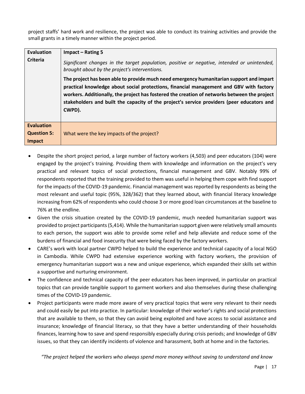project staffs' hard work and resilience, the project was able to conduct its training activities and provide the small grants in a timely manner within the project period.

| <b>Evaluation</b>                       | Impact - Rating 5                                                                                                                                                                                                                                                                                                                                                                           |
|-----------------------------------------|---------------------------------------------------------------------------------------------------------------------------------------------------------------------------------------------------------------------------------------------------------------------------------------------------------------------------------------------------------------------------------------------|
| <b>Criteria</b>                         | Significant changes in the target population, positive or negative, intended or unintended,<br>brought about by the project's interventions.                                                                                                                                                                                                                                                |
|                                         | The project has been able to provide much need emergency humanitarian support and impart<br>practical knowledge about social protections, financial management and GBV with factory<br>workers. Additionally, the project has fostered the creation of networks between the project<br>stakeholders and built the capacity of the project's service providers (peer educators and<br>CWPD). |
| <b>Evaluation</b><br><b>Question 5:</b> | What were the key impacts of the project?                                                                                                                                                                                                                                                                                                                                                   |
| Impact                                  |                                                                                                                                                                                                                                                                                                                                                                                             |

- Despite the short project period, a large number of factory workers (4,503) and peer educators (104) were engaged by the project's training. Providing them with knowledge and information on the project's very practical and relevant topics of social protections, financial management and GBV. Notably 99% of respondents reported that the training provided to them was useful in helping them cope with find support for the impacts of the COVID-19 pandemic. Financial management was reported by respondents as being the most relevant and useful topic (95%, 328/362) that they learned about, with financial literacy knowledge increasing from 62% of respondents who could choose 3 or more good loan circumstances at the baseline to 76% at the endline.
- Given the crisis situation created by the COVID-19 pandemic, much needed humanitarian support was provided to project participants(5,414). While the humanitarian support given were relatively small amounts to each person, the support was able to provide some relief and help alleviate and reduce some of the burdens of financial and food insecurity that were being faced by the factory workers.
- CARE's work with local partner CWPD helped to build the experience and technical capacity of a local NGO in Cambodia. While CWPD had extensive experience working with factory workers, the provision of emergency humanitarian support was a new and unique experience, which expanded their skills set within a supportive and nurturing environment.
- The confidence and technical capacity of the peer educators has been improved, in particular on practical topics that can provide tangible support to garment workers and also themselves during these challenging times of the COVID-19 pandemic.
- Project participants were made more aware of very practical topics that were very relevant to their needs and could easily be put into practice. In particular: knowledge of their worker's rights and social protections that are available to them, so that they can avoid being exploited and have access to social assistance and insurance; knowledge of financial literacy, so that they have a better understanding of their households finances, learning how to save and spend responsibly especially during crisis periods; and knowledge of GBV issues, so that they can identify incidents of violence and harassment, both at home and in the factories.

*"The project helped the workers who always spend more money without saving to understand and know*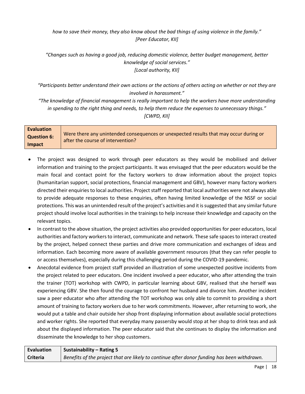*how to save their money, they also know about the bad things of using violence in the family." [Peer Educator, KII]*

*"Changes such as having a good job, reducing domestic violence, better budget management, better knowledge of social services." [Local authority, KII]*

*"Participants better understand their own actions or the actions of others acting on whether or not they are involved in harassment."*

*"The knowledge of financial management is really important to help the workers have more understanding in spending to the right thing and needs, to help them reduce the expenses to unnecessary things." [CWPD, KII]*

| <b>Evaluation</b>  |                                                                                                                            |
|--------------------|----------------------------------------------------------------------------------------------------------------------------|
| <b>Question 6:</b> | Were there any unintended consequences or unexpected results that may occur during or<br>after the course of intervention? |
| Impact             |                                                                                                                            |

- The project was designed to work through peer educators as they would be mobilised and deliver information and training to the project participants. It was envisaged that the peer educators would be the main focal and contact point for the factory workers to draw information about the project topics (humanitarian support, social protections, financial management and GBV), however many factory workers directed their enquiries to local authorities. Project staff reported that local authorities were not always able to provide adequate responses to these enquiries, often having limited knowledge of the NSSF or social protections. This was an unintended result of the project's activities and it is suggested that any similar future project should involve local authorities in the trainings to help increase their knowledge and capacity on the relevant topics.
- In contrast to the above situation, the project activities also provided opportunities for peer educators, local authorities and factory workers to interact, communicate and network. These safe spaces to interact created by the project, helped connect these parties and drive more communication and exchanges of ideas and information. Each becoming more aware of available government resources (that they can refer people to or access themselves), especially during this challenging period during the COVID-19 pandemic.
- Anecdotal evidence from project staff provided an illustration of some unexpected positive incidents from the project related to peer educators. One incident involved a peer educator, who after attending the train the trainer (TOT) workshop with CWPD, in particular learning about GBV, realised that she herself was experiencing GBV. She then found the courage to confront her husband and divorce him. Another incident saw a peer educator who after attending the TOT workshop was only able to commit to providing a short amount of training to factory workers due to her work commitments. However, after returning to work, she would put a table and chair outside her shop front displaying information about available social protections and worker rights. She reported that everyday many passersby would stop at her shop to drink teas and ask about the displayed information. The peer educator said that she continues to display the information and disseminate the knowledge to her shop customers.

| <b>Evaluation</b> | Sustainability – Rating 5                                                                   |
|-------------------|---------------------------------------------------------------------------------------------|
| <b>Criteria</b>   | Benefits of the project that are likely to continue after donor funding has been withdrawn. |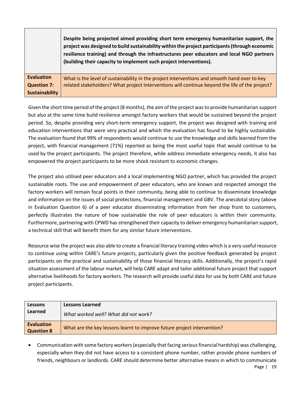|                       | Despite being projected aimed providing short term emergency humanitarian support, the<br>project was designed to build sustainability within the project participants (through economic<br>resilience training) and through the infrastructures peer educators and local NGO partners<br>(building their capacity to implement such project interventions). |
|-----------------------|--------------------------------------------------------------------------------------------------------------------------------------------------------------------------------------------------------------------------------------------------------------------------------------------------------------------------------------------------------------|
| <b>Evaluation</b>     | What is the level of sustainability in the project interventions and smooth hand over to key                                                                                                                                                                                                                                                                 |
| <b>Question 7:</b>    | related stakeholders? What project interventions will continue beyond the life of the project?                                                                                                                                                                                                                                                               |
| <b>Sustainability</b> |                                                                                                                                                                                                                                                                                                                                                              |

Given the short time period of the project (8 months), the aim of the project was to provide humanitarian support but also at the same time build resilience amongst factory workers that would be sustained beyond the project period. So, despite providing very short-term emergency support, the project was designed with training and education interventions that were very practical and which the evaluation has found to be highly sustainable. The evaluation found that 99% of respondents would continue to use the knowledge and skills learned from the project, with financial management (71%) reported as being the most useful topic that would continue to be used by the project participants. The project therefore, while address immediate emergency needs, it also has empowered the project participants to be more shock resistant to economic changes.

The project also utilised peer educators and a local implementing NGO partner, which has provided the project sustainable roots. The use and empowerment of peer educators, who are known and respected amongst the factory workers will remain focal points in their community, being able to continue to disseminate knowledge and information on the issues of social protections, financial management and GBV. The anecdotal story (above in Evaluation Question 6) of a peer educator disseminating information from her shop front to customers, perfectly illustrates the nature of how sustainable the role of peer educators is within their community. Furthermore, partnering with CPWD has strengthened their capacity to deliver emergency humanitarian support, a technical skill that will benefit them for any similar future interventions.

Resource wise the project was also able to create a financial literacy training video which is a very useful resource to continue using within CARE's future projects, particularly given the positive feedback generated by project participants on the practical and sustainability of those financial literacy skills. Additionally, the project's rapid situation assessment of the labour market, will help CARE adapt and tailor additional future project that support alternative livelihoods for factory workers. The research will provide useful data for use by both CARE and future project participants.

| Lessons                                | <b>Lessons Learned</b>                                                  |
|----------------------------------------|-------------------------------------------------------------------------|
| <b>Learned</b>                         | What worked well? What did not work?                                    |
| <b>Evaluation</b><br><b>Question 8</b> | What are the key lessons learnt to improve future project intervention? |

Page | 19 • Communication with some factory workers (especially that facing serious financial hardship) was challenging, especially when they did not have access to a consistent phone number, rather provide phone numbers of friends, neighbours or landlords. CARE should determine better alternative means in which to communicate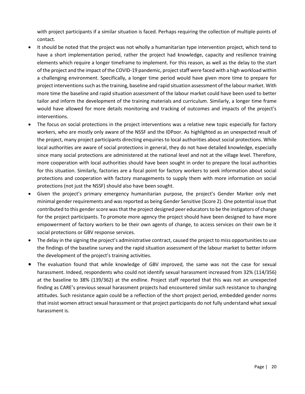with project participants if a similar situation is faced. Perhaps requiring the collection of multiple points of contact.

- It should be noted that the project was not wholly a humanitarian type intervention project, which tend to have a short implementation period, rather the project had knowledge, capacity and resilience training elements which require a longer timeframe to implement. For this reason, as well as the delay to the start of the project and the impact of the COVID-19 pandemic, project staff were faced with a high workload within a challenging environment. Specifically, a longer time period would have given more time to prepare for project interventions such as the training, baseline and rapid situation assessment of the labour market. With more time the baseline and rapid situation assessment of the labour market could have been used to better tailor and inform the development of the training materials and curriculum. Similarly, a longer time frame would have allowed for more details monitoring and tracking of outcomes and impacts of the project's interventions.
- The focus on social protections in the project interventions was a relative new topic especially for factory workers, who are mostly only aware of the NSSF and the IDPoor. As highlighted as an unexpected result of the project, many project participants directing enquiries to local authorities about social protections. While local authorities are aware of social protections in general, they do not have detailed knowledge, especially since many social protections are administered at the national level and not at the village level. Therefore, more cooperation with local authorities should have been sought in order to prepare the local authorities for this situation. Similarly, factories are a focal point for factory workers to seek information about social protections and cooperation with factory managements to supply them with more information on social protections (not just the NSSF) should also have been sought.
- Given the project's primary emergency humanitarian purpose, the project's Gender Marker only met minimal gender requirements and was reported as being Gender Sensitive (Score 2). One potential issue that contributed to this gender score was that the project designed peer educators to be the instigators of change for the project participants. To promote more agency the project should have been designed to have more empowerment of factory workers to be their own agents of change, to access services on their own be it social protections or GBV response services.
- The delay in the signing the project's administrative contract, caused the project to miss opportunities to use the findings of the baseline survey and the rapid situation assessment of the labour market to better inform the development of the project's training activities.
- The evaluation found that while knowledge of GBV improved, the same was not the case for sexual harassment. Indeed, respondents who could not identify sexual harassment increased from 32% (114/356) at the baseline to 38% (139/362) at the endline. Project staff reported that this was not an unexpected finding as CARE's previous sexual harassment projects had encountered similar such resistance to changing attitudes. Such resistance again could be a reflection of the short project period, embedded gender norms that insist women attract sexual harassment or that project participants do not fully understand what sexual harassment is.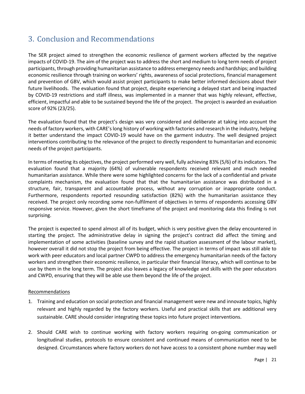# <span id="page-22-0"></span>3. Conclusion and Recommendations

The SER project aimed to strengthen the economic resilience of garment workers affected by the negative impacts of COVID-19. The aim of the project was to address the short and medium to long term needs of project participants, through providing humanitarian assistance to address emergency needs and hardships; and building economic resilience through training on workers' rights, awareness of social protections, financial management and prevention of GBV, which would assist project participants to make better informed decisions about their future livelihoods. The evaluation found that project, despite experiencing a delayed start and being impacted by COVID-19 restrictions and staff illness, was implemented in a manner that was highly relevant, effective, efficient, impactful and able to be sustained beyond the life of the project. The project is awarded an evaluation score of 92% (23/25).

The evaluation found that the project's design was very considered and deliberate at taking into account the needs of factory workers, with CARE's long history of working with factories and research in the industry, helping it better understand the impact COVID-19 would have on the garment industry. The well designed project interventions contributing to the relevance of the project to directly respondent to humanitarian and economic needs of the project participants.

In terms of meeting its objectives, the project performed very well, fully achieving 83% (5/6) of its indicators. The evaluation found that a majority (64%) of vulnerable respondents received relevant and much needed humanitarian assistance. While there were some highlighted concerns for the lack of a confidential and private complaints mechanism, the evaluation found that that the humanitarian assistance was distributed in a structure, fair, transparent and accountable process, without any corruption or inappropriate conduct. Furthermore, respondents reported resounding satisfaction (82%) with the humanitarian assistance they received. The project only recording some non-fulfilment of objectives in terms of respondents accessing GBV responsive service. However, given the short timeframe of the project and monitoring data this finding is not surprising.

The project is expected to spend almost all of its budget, which is very positive given the delay encountered in starting the project. The administrative delay in signing the project's contract did affect the timing and implementation of some activities (baseline survey and the rapid situation assessment of the labour market), however overall it did not stop the project from being effective. The project in terms of impact was still able to work with peer educators and local partner CWPD to address the emergency humanitarian needs of the factory workers and strengthen their economic resilience, in particular their financial literacy, which will continue to be use by them in the long term. The project also leaves a legacy of knowledge and skills with the peer educators and CWPD, ensuring that they will be able use them beyond the life of the project.

#### Recommendations

- 1. Training and education on social protection and financial management were new and innovate topics, highly relevant and highly regarded by the factory workers. Useful and practical skills that are additional very sustainable. CARE should consider integrating these topics into future project interventions.
- 2. Should CARE wish to continue working with factory workers requiring on-going communication or longitudinal studies, protocols to ensure consistent and continued means of communication need to be designed. Circumstances where factory workers do not have access to a consistent phone number may well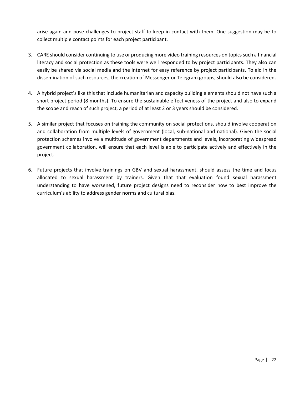arise again and pose challenges to project staff to keep in contact with them. One suggestion may be to collect multiple contact points for each project participant.

- 3. CARE should consider continuing to use or producing more video training resources on topics such a financial literacy and social protection as these tools were well responded to by project participants. They also can easily be shared via social media and the internet for easy reference by project participants. To aid in the dissemination of such resources, the creation of Messenger or Telegram groups, should also be considered.
- 4. A hybrid project's like this that include humanitarian and capacity building elements should not have such a short project period (8 months). To ensure the sustainable effectiveness of the project and also to expand the scope and reach of such project, a period of at least 2 or 3 years should be considered.
- 5. A similar project that focuses on training the community on social protections, should involve cooperation and collaboration from multiple levels of government (local, sub-national and national). Given the social protection schemes involve a multitude of government departments and levels, incorporating widespread government collaboration, will ensure that each level is able to participate actively and effectively in the project.
- 6. Future projects that involve trainings on GBV and sexual harassment, should assess the time and focus allocated to sexual harassment by trainers. Given that that evaluation found sexual harassment understanding to have worsened, future project designs need to reconsider how to best improve the curriculum's ability to address gender norms and cultural bias.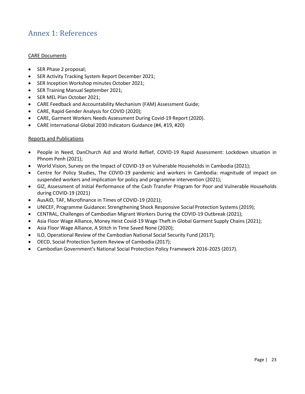# <span id="page-24-0"></span>Annex 1: References

## CARE Documents

- SER Phase 2 proposal;
- SER Activity Tracking System Report December 2021;
- SER Inception Workshop minutes October 2021;
- SER Training Manual September 2021;
- SER MEL Plan October 2021;
- CARE Feedback and Accountability Mechanism (FAM) Assessment Guide;
- CARE, Rapid Gender Analysis for COVID (2020);
- CARE, Garment Workers Needs Assessment During Covid-19 Report (2020).
- CARE International Global 2030 Indicators Guidance (#4, #19, #20)

#### Reports and Publications

- People in Need, DanChurch Aid and World Reflief, COVID-19 Rapid Assessment: Lockdown situation in Phnom Penh (2021);
- World Vision, Survey on the Impact of COVID-19 on Vulnerable Households in Cambodia (2021);
- Centre for Policy Studies, The COVID-19 pandemic and workers in Cambodia: magnitude of impact on suspended workers and implication for policy and programme intervention (2021);
- GIZ, Assessment of Initial Performance of the Cash Transfer Program for Poor and Vulnerable Households during COVID-19 (2021)
- AusAID, TAF, Microfinance in Times of COVID-19 (2021);
- UNICEF, Programme Guidance**:** Strengthening Shock Responsive Social Protection Systems (2019);
- CENTRAL, Challenges of Cambodian Migrant Workers During the COVID-19 Outbreak (2021);
- Asia Floor Wage Alliance, Money Heist Covid-19 Wage Theft in Global Garment Supply Chains (2021);
- Asia Floor Wage Alliance, A Stitch in Time Saved None (2020);
- ILO, Operational Review of the Cambodian National Social Security Fund (2017);
- OECD, Social Protection System Review of Cambodia (2017);
- Cambodian Government's National Social Protection Policy Framework 2016-2025 (2017).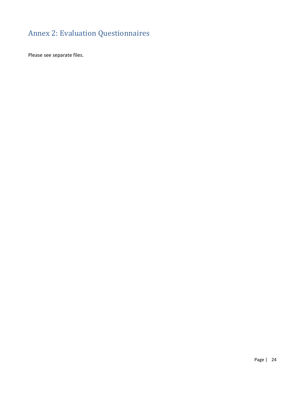# <span id="page-25-0"></span>Annex 2: Evaluation Questionnaires

Please see separate files.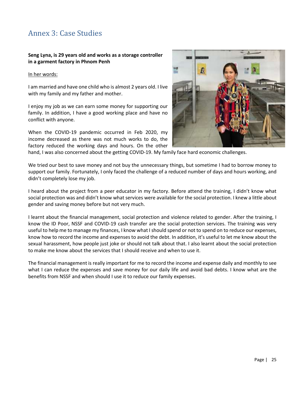# <span id="page-26-0"></span>Annex 3: Case Studies

## **Seng Lyna, is 29 years old and works as a storage controller in a garment factory in Phnom Penh**

#### In her words:

I am married and have one child who is almost 2 years old. I live with my family and my father and mother.

I enjoy my job as we can earn some money for supporting our family. In addition, I have a good working place and have no conflict with anyone.

When the COVID-19 pandemic occurred in Feb 2020, my income decreased as there was not much works to do, the factory reduced the working days and hours. On the other



hand, I was also concerned about the getting COVID-19. My family face hard economic challenges.

We tried our best to save money and not buy the unnecessary things, but sometime I had to borrow money to support our family. Fortunately, I only faced the challenge of a reduced number of days and hours working, and didn't completely lose my job.

I heard about the project from a peer educator in my factory. Before attend the training, I didn't know what social protection was and didn't know what services were available for the social protection. I knew a little about gender and saving money before but not very much.

I learnt about the financial management, social protection and violence related to gender. After the training, I know the ID Poor, NSSF and COVID-19 cash transfer are the social protection services. The training was very useful to help me to manage my finances, I know what I should spend or not to spend on to reduce our expenses, know how to record the income and expenses to avoid the debt. In addition, it's useful to let me know about the sexual harassment, how people just joke or should not talk about that. I also learnt about the social protection to make me know about the services that I should receive and when to use it.

The financial management is really important for me to record the income and expense daily and monthly to see what I can reduce the expenses and save money for our daily life and avoid bad debts. I know what are the benefits from NSSF and when should I use it to reduce our family expenses.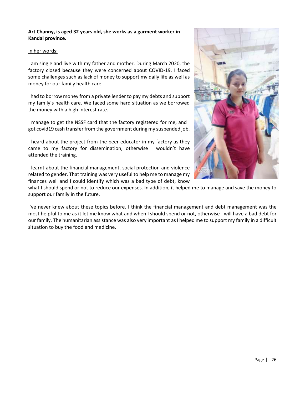## **Art Channy, is aged 32 years old, she works as a garment worker in Kandal province.**

#### In her words:

I am single and live with my father and mother. During March 2020, the factory closed because they were concerned about COVID-19. I faced some challenges such as lack of money to support my daily life as well as money for our family health care.

I had to borrow money from a private lender to pay my debts and support my family's health care. We faced some hard situation as we borrowed the money with a high interest rate.

I manage to get the NSSF card that the factory registered for me, and I got covid19 cash transfer from the government during my suspended job.

I heard about the project from the peer educator in my factory as they came to my factory for dissemination, otherwise I wouldn't have attended the training.

I learnt about the financial management, social protection and violence related to gender. That training was very useful to help me to manage my finances well and I could identify which was a bad type of debt, know

what I should spend or not to reduce our expenses. In addition, it helped me to manage and save the money to support our family in the future.

I've never knew about these topics before. I think the financial management and debt management was the most helpful to me as it let me know what and when I should spend or not, otherwise I will have a bad debt for our family. The humanitarian assistance was also very important as I helped me to support my family in a difficult situation to buy the food and medicine.

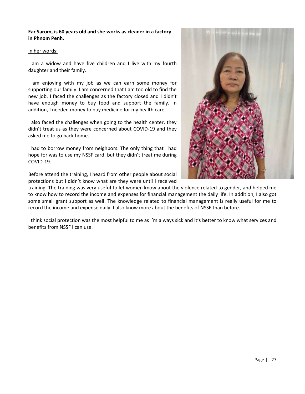## **Ear Sarom, is 60 years old and she works as cleaner in a factory in Phnom Penh.**

#### In her words:

I am a widow and have five children and I live with my fourth daughter and their family.

I am enjoying with my job as we can earn some money for supporting our family. I am concerned that I am too old to find the new job. I faced the challenges as the factory closed and I didn't have enough money to buy food and support the family. In addition, I needed money to buy medicine for my health care.

I also faced the challenges when going to the health center, they didn't treat us as they were concerned about COVID-19 and they asked me to go back home.

I had to borrow money from neighbors. The only thing that I had hope for was to use my NSSF card, but they didn't treat me during COVID-19.

Before attend the training, I heard from other people about social protections but I didn't know what are they were until I received



training. The training was very useful to let women know about the violence related to gender, and helped me to know how to record the income and expenses for financial management the daily life. In addition, I also got some small grant support as well. The knowledge related to financial management is really useful for me to record the income and expense daily. I also know more about the benefits of NSSF than before.

I think social protection was the most helpful to me as I'm always sick and it's better to know what services and benefits from NSSF I can use.